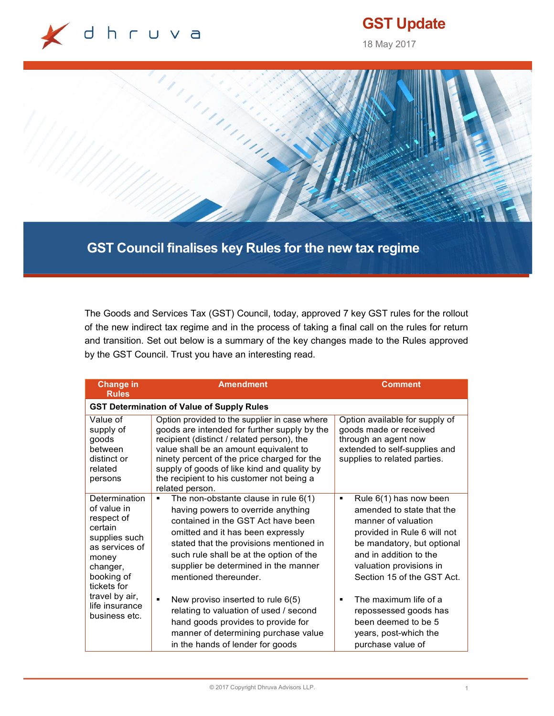

# GST Update

18 May 2017



GST Council finalises key Rules for the new tax regime

The Goods and Services Tax (GST) Council, today, approved 7 key GST rules for the rollout of the new indirect tax regime and in the process of taking a final call on the rules for return and transition. Set out below is a summary of the key changes made to the Rules approved by the GST Council. Trust you have an interesting read.

| <b>Change in</b><br><b>Rules</b>                                                                                                                                                                | <b>Amendment</b>                                                                                                                                                                                                                                                                                                                                                                                                                                                                                                                  | <b>Comment</b>                                                                                                                                                                                                                                                                                                                                              |  |  |  |
|-------------------------------------------------------------------------------------------------------------------------------------------------------------------------------------------------|-----------------------------------------------------------------------------------------------------------------------------------------------------------------------------------------------------------------------------------------------------------------------------------------------------------------------------------------------------------------------------------------------------------------------------------------------------------------------------------------------------------------------------------|-------------------------------------------------------------------------------------------------------------------------------------------------------------------------------------------------------------------------------------------------------------------------------------------------------------------------------------------------------------|--|--|--|
| <b>GST Determination of Value of Supply Rules</b>                                                                                                                                               |                                                                                                                                                                                                                                                                                                                                                                                                                                                                                                                                   |                                                                                                                                                                                                                                                                                                                                                             |  |  |  |
| Value of<br>supply of<br>goods<br>between<br>distinct or<br>related<br>persons                                                                                                                  | Option provided to the supplier in case where<br>goods are intended for further supply by the<br>recipient (distinct / related person), the<br>value shall be an amount equivalent to<br>ninety percent of the price charged for the<br>supply of goods of like kind and quality by<br>the recipient to his customer not being a<br>related person.                                                                                                                                                                               | Option available for supply of<br>goods made or received<br>through an agent now<br>extended to self-supplies and<br>supplies to related parties.                                                                                                                                                                                                           |  |  |  |
| Determination<br>of value in<br>respect of<br>certain<br>supplies such<br>as services of<br>money<br>changer,<br>booking of<br>tickets for<br>travel by air,<br>life insurance<br>business etc. | The non-obstante clause in rule $6(1)$<br>having powers to override anything<br>contained in the GST Act have been<br>omitted and it has been expressly<br>stated that the provisions mentioned in<br>such rule shall be at the option of the<br>supplier be determined in the manner<br>mentioned thereunder.<br>New proviso inserted to rule 6(5)<br>$\blacksquare$<br>relating to valuation of used / second<br>hand goods provides to provide for<br>manner of determining purchase value<br>in the hands of lender for goods | Rule 6(1) has now been<br>٠<br>amended to state that the<br>manner of valuation<br>provided in Rule 6 will not<br>be mandatory, but optional<br>and in addition to the<br>valuation provisions in<br>Section 15 of the GST Act.<br>The maximum life of a<br>٠<br>repossessed goods has<br>been deemed to be 5<br>years, post-which the<br>purchase value of |  |  |  |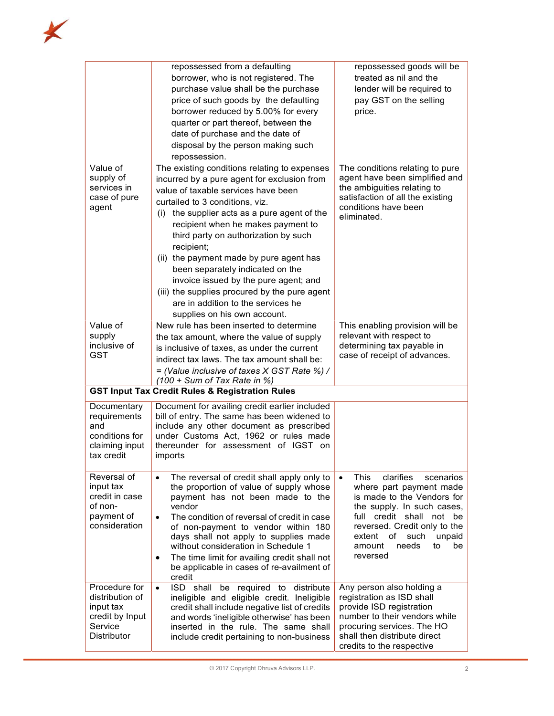|                                                                                                   | repossessed from a defaulting<br>borrower, who is not registered. The<br>purchase value shall be the purchase<br>price of such goods by the defaulting<br>borrower reduced by 5.00% for every<br>quarter or part thereof, between the<br>date of purchase and the date of<br>disposal by the person making such<br>repossession.                                                                                                                                                                                                                                    | repossessed goods will be<br>treated as nil and the<br>lender will be required to<br>pay GST on the selling<br>price.                                                                                                                                                 |
|---------------------------------------------------------------------------------------------------|---------------------------------------------------------------------------------------------------------------------------------------------------------------------------------------------------------------------------------------------------------------------------------------------------------------------------------------------------------------------------------------------------------------------------------------------------------------------------------------------------------------------------------------------------------------------|-----------------------------------------------------------------------------------------------------------------------------------------------------------------------------------------------------------------------------------------------------------------------|
| Value of<br>supply of<br>services in<br>case of pure<br>agent                                     | The existing conditions relating to expenses<br>incurred by a pure agent for exclusion from<br>value of taxable services have been<br>curtailed to 3 conditions, viz.<br>the supplier acts as a pure agent of the<br>(i)<br>recipient when he makes payment to<br>third party on authorization by such<br>recipient;<br>(ii) the payment made by pure agent has<br>been separately indicated on the<br>invoice issued by the pure agent; and<br>(iii) the supplies procured by the pure agent<br>are in addition to the services he<br>supplies on his own account. | The conditions relating to pure<br>agent have been simplified and<br>the ambiguities relating to<br>satisfaction of all the existing<br>conditions have been<br>eliminated.                                                                                           |
| Value of<br>supply<br>inclusive of<br><b>GST</b>                                                  | New rule has been inserted to determine<br>the tax amount, where the value of supply<br>is inclusive of taxes, as under the current<br>indirect tax laws. The tax amount shall be:<br>= (Value inclusive of taxes X GST Rate %) /<br>$(100 + Sum of Tax Rate in %)$                                                                                                                                                                                                                                                                                                 | This enabling provision will be<br>relevant with respect to<br>determining tax payable in<br>case of receipt of advances.                                                                                                                                             |
|                                                                                                   | <b>GST Input Tax Credit Rules &amp; Registration Rules</b>                                                                                                                                                                                                                                                                                                                                                                                                                                                                                                          |                                                                                                                                                                                                                                                                       |
| Documentary<br>requirements<br>and<br>conditions for<br>claiming input<br>tax credit              | Document for availing credit earlier included<br>bill of entry. The same has been widened to<br>include any other document as prescribed<br>under Customs Act, 1962 or rules made<br>thereunder for assessment of IGST on<br>imports                                                                                                                                                                                                                                                                                                                                |                                                                                                                                                                                                                                                                       |
| Reversal of<br>input tax<br>credit in case<br>of non-<br>payment of<br>consideration              | The reversal of credit shall apply only to<br>the proportion of value of supply whose<br>payment has not been made to the<br>vendor<br>The condition of reversal of credit in case<br>$\bullet$<br>of non-payment to vendor within 180<br>days shall not apply to supplies made<br>without consideration in Schedule 1<br>The time limit for availing credit shall not<br>be applicable in cases of re-availment of<br>credit                                                                                                                                       | clarifies<br>This<br>scenarios<br>$\bullet$<br>where part payment made<br>is made to the Vendors for<br>the supply. In such cases,<br>full credit shall not be<br>reversed. Credit only to the<br>extent of such<br>unpaid<br>needs<br>amount<br>to<br>be<br>reversed |
| Procedure for<br>distribution of<br>input tax<br>credit by Input<br>Service<br><b>Distributor</b> | ISD shall be required to distribute<br>$\bullet$<br>ineligible and eligible credit. Ineligible<br>credit shall include negative list of credits<br>and words 'ineligible otherwise' has been<br>inserted in the rule. The same shall<br>include credit pertaining to non-business                                                                                                                                                                                                                                                                                   | Any person also holding a<br>registration as ISD shall<br>provide ISD registration<br>number to their vendors while<br>procuring services. The HO<br>shall then distribute direct<br>credits to the respective                                                        |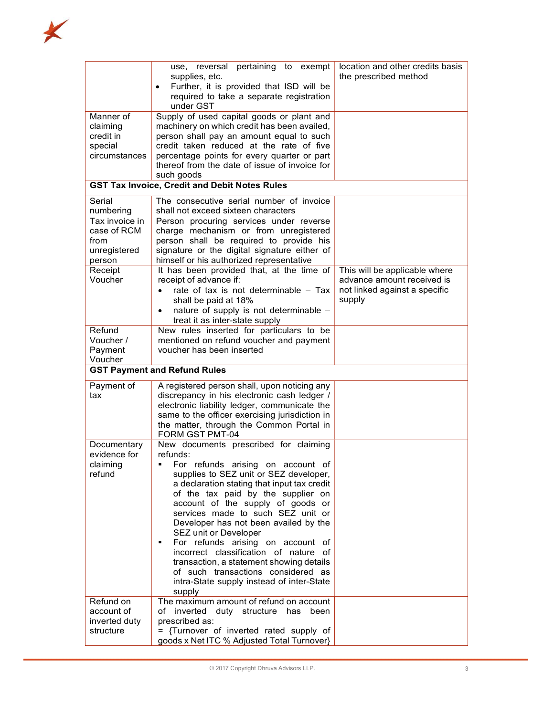

|                                                                                        | use, reversal pertaining to exempt<br>supplies, etc.<br>Further, it is provided that ISD will be<br>$\bullet$<br>required to take a separate registration<br>under GST                                                                                                                                                                                                                                                                                                                                                                                                                        | location and other credits basis<br>the prescribed method                                              |  |  |  |
|----------------------------------------------------------------------------------------|-----------------------------------------------------------------------------------------------------------------------------------------------------------------------------------------------------------------------------------------------------------------------------------------------------------------------------------------------------------------------------------------------------------------------------------------------------------------------------------------------------------------------------------------------------------------------------------------------|--------------------------------------------------------------------------------------------------------|--|--|--|
| Manner of<br>claiming<br>credit in<br>special<br>circumstances                         | Supply of used capital goods or plant and<br>machinery on which credit has been availed,<br>person shall pay an amount equal to such<br>credit taken reduced at the rate of five<br>percentage points for every quarter or part<br>thereof from the date of issue of invoice for<br>such goods                                                                                                                                                                                                                                                                                                |                                                                                                        |  |  |  |
|                                                                                        | <b>GST Tax Invoice, Credit and Debit Notes Rules</b>                                                                                                                                                                                                                                                                                                                                                                                                                                                                                                                                          |                                                                                                        |  |  |  |
| Serial<br>numbering<br>Tax invoice in<br>case of RCM<br>from<br>unregistered<br>person | The consecutive serial number of invoice<br>shall not exceed sixteen characters<br>Person procuring services under reverse<br>charge mechanism or from unregistered<br>person shall be required to provide his<br>signature or the digital signature either of<br>himself or his authorized representative                                                                                                                                                                                                                                                                                    |                                                                                                        |  |  |  |
| Receipt<br>Voucher                                                                     | It has been provided that, at the time of<br>receipt of advance if:<br>rate of tax is not determinable - Tax<br>shall be paid at 18%<br>nature of supply is not determinable -<br>$\bullet$<br>treat it as inter-state supply                                                                                                                                                                                                                                                                                                                                                                 | This will be applicable where<br>advance amount received is<br>not linked against a specific<br>supply |  |  |  |
| Refund<br>Voucher /<br>Payment<br>Voucher                                              | New rules inserted for particulars to be<br>mentioned on refund voucher and payment<br>voucher has been inserted                                                                                                                                                                                                                                                                                                                                                                                                                                                                              |                                                                                                        |  |  |  |
| <b>GST Payment and Refund Rules</b>                                                    |                                                                                                                                                                                                                                                                                                                                                                                                                                                                                                                                                                                               |                                                                                                        |  |  |  |
| Payment of<br>tax                                                                      | A registered person shall, upon noticing any<br>discrepancy in his electronic cash ledger /<br>electronic liability ledger, communicate the<br>same to the officer exercising jurisdiction in<br>the matter, through the Common Portal in<br>FORM GST PMT-04                                                                                                                                                                                                                                                                                                                                  |                                                                                                        |  |  |  |
| Documentary<br>evidence for<br>claiming<br>refund                                      | New documents prescribed for claiming<br>refunds:<br>For refunds arising on account of<br>supplies to SEZ unit or SEZ developer,<br>a declaration stating that input tax credit<br>of the tax paid by the supplier on<br>account of the supply of goods or<br>services made to such SEZ unit or<br>Developer has not been availed by the<br>SEZ unit or Developer<br>For refunds arising on account of<br>٠<br>incorrect classification of nature of<br>transaction, a statement showing details<br>of such transactions considered as<br>intra-State supply instead of inter-State<br>supply |                                                                                                        |  |  |  |
| Refund on<br>account of<br>inverted duty<br>structure                                  | The maximum amount of refund on account<br>of inverted duty structure has been<br>prescribed as:<br>= {Turnover of inverted rated supply of<br>goods x Net ITC % Adjusted Total Turnover}                                                                                                                                                                                                                                                                                                                                                                                                     |                                                                                                        |  |  |  |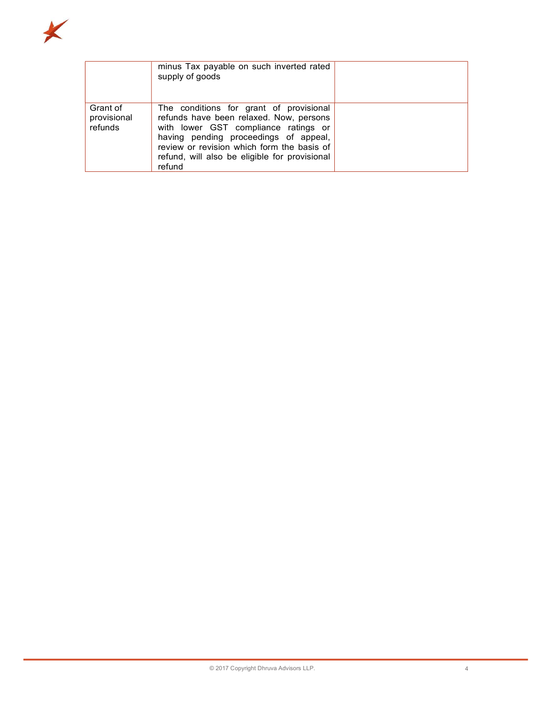

|                                    | minus Tax payable on such inverted rated<br>supply of goods                                                                                                                                                                                                                  |  |
|------------------------------------|------------------------------------------------------------------------------------------------------------------------------------------------------------------------------------------------------------------------------------------------------------------------------|--|
| Grant of<br>provisional<br>refunds | The conditions for grant of provisional<br>refunds have been relaxed. Now, persons<br>with lower GST compliance ratings or<br>having pending proceedings of appeal,<br>review or revision which form the basis of<br>refund, will also be eligible for provisional<br>refund |  |